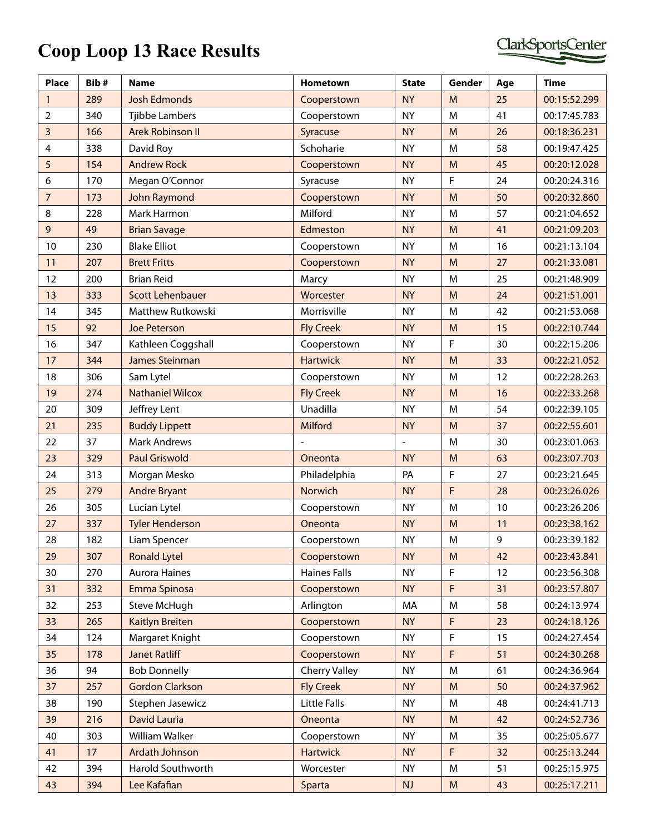## **Coop Loop 13 Race Results**

| <b>ClarkSportsCenter</b> |
|--------------------------|
|                          |

| Place          | Bib# | <b>Name</b>             | Hometown             | <b>State</b>   | Gender | Age | <b>Time</b>  |
|----------------|------|-------------------------|----------------------|----------------|--------|-----|--------------|
| 1              | 289  | <b>Josh Edmonds</b>     | Cooperstown          | <b>NY</b>      | M      | 25  | 00:15:52.299 |
| $\overline{2}$ | 340  | Tjibbe Lambers          | Cooperstown          | <b>NY</b>      | M      | 41  | 00:17:45.783 |
| 3              | 166  | <b>Arek Robinson II</b> | Syracuse             | <b>NY</b>      | M      | 26  | 00:18:36.231 |
| 4              | 338  | David Roy               | Schoharie            | <b>NY</b>      | M      | 58  | 00:19:47.425 |
| 5              | 154  | <b>Andrew Rock</b>      | Cooperstown          | <b>NY</b>      | M      | 45  | 00:20:12.028 |
| 6              | 170  | Megan O'Connor          | Syracuse             | <b>NY</b>      | F      | 24  | 00:20:24.316 |
| $\overline{7}$ | 173  | <b>John Raymond</b>     | Cooperstown          | <b>NY</b>      | M      | 50  | 00:20:32.860 |
| 8              | 228  | Mark Harmon             | Milford              | <b>NY</b>      | M      | 57  | 00:21:04.652 |
| 9              | 49   | <b>Brian Savage</b>     | Edmeston             | <b>NY</b>      | M      | 41  | 00:21:09.203 |
| 10             | 230  | <b>Blake Elliot</b>     | Cooperstown          | <b>NY</b>      | M      | 16  | 00:21:13.104 |
| 11             | 207  | <b>Brett Fritts</b>     | Cooperstown          | <b>NY</b>      | M      | 27  | 00:21:33.081 |
| 12             | 200  | <b>Brian Reid</b>       | Marcy                | <b>NY</b>      | M      | 25  | 00:21:48.909 |
| 13             | 333  | <b>Scott Lehenbauer</b> | Worcester            | <b>NY</b>      | M      | 24  | 00:21:51.001 |
| 14             | 345  | Matthew Rutkowski       | Morrisville          | <b>NY</b>      | M      | 42  | 00:21:53.068 |
| 15             | 92   | Joe Peterson            | <b>Fly Creek</b>     | <b>NY</b>      | M      | 15  | 00:22:10.744 |
| 16             | 347  | Kathleen Coggshall      | Cooperstown          | <b>NY</b>      | F      | 30  | 00:22:15.206 |
| 17             | 344  | <b>James Steinman</b>   | <b>Hartwick</b>      | <b>NY</b>      | M      | 33  | 00:22:21.052 |
| 18             | 306  | Sam Lytel               | Cooperstown          | <b>NY</b>      | M      | 12  | 00:22:28.263 |
| 19             | 274  | <b>Nathaniel Wilcox</b> | <b>Fly Creek</b>     | <b>NY</b>      | M      | 16  | 00:22:33.268 |
| 20             | 309  | Jeffrey Lent            | Unadilla             | <b>NY</b>      | M      | 54  | 00:22:39.105 |
| 21             | 235  | <b>Buddy Lippett</b>    | Milford              | <b>NY</b>      | M      | 37  | 00:22:55.601 |
| 22             | 37   | <b>Mark Andrews</b>     |                      | $\blacksquare$ | M      | 30  | 00:23:01.063 |
| 23             | 329  | <b>Paul Griswold</b>    | Oneonta              | <b>NY</b>      | M      | 63  | 00:23:07.703 |
| 24             | 313  | Morgan Mesko            | Philadelphia         | PA             | F      | 27  | 00:23:21.645 |
| 25             | 279  | <b>Andre Bryant</b>     | Norwich              | <b>NY</b>      | F      | 28  | 00:23:26.026 |
| 26             | 305  | Lucian Lytel            | Cooperstown          | <b>NY</b>      | M      | 10  | 00:23:26.206 |
| 27             | 337  | <b>Tyler Henderson</b>  | Oneonta              | <b>NY</b>      | M      | 11  | 00:23:38.162 |
| 28             | 182  | Liam Spencer            | Cooperstown          | <b>NY</b>      | M      | 9   | 00:23:39.182 |
| 29             | 307  | <b>Ronald Lytel</b>     | Cooperstown          | <b>NY</b>      | M      | 42  | 00:23:43.841 |
| 30             | 270  | Aurora Haines           | Haines Falls         | <b>NY</b>      | F      | 12  | 00:23:56.308 |
| 31             | 332  | Emma Spinosa            | Cooperstown          | <b>NY</b>      | F      | 31  | 00:23:57.807 |
| 32             | 253  | Steve McHugh            | Arlington            | MA             | M      | 58  | 00:24:13.974 |
| 33             | 265  | Kaitlyn Breiten         | Cooperstown          | <b>NY</b>      | F      | 23  | 00:24:18.126 |
| 34             | 124  | Margaret Knight         | Cooperstown          | <b>NY</b>      | F      | 15  | 00:24:27.454 |
| 35             | 178  | <b>Janet Ratliff</b>    | Cooperstown          | <b>NY</b>      | F      | 51  | 00:24:30.268 |
| 36             | 94   | <b>Bob Donnelly</b>     | <b>Cherry Valley</b> | <b>NY</b>      | M      | 61  | 00:24:36.964 |
| 37             | 257  | <b>Gordon Clarkson</b>  | <b>Fly Creek</b>     | <b>NY</b>      | M      | 50  | 00:24:37.962 |
| 38             | 190  | Stephen Jasewicz        | Little Falls         | <b>NY</b>      | M      | 48  | 00:24:41.713 |
| 39             | 216  | David Lauria            | Oneonta              | <b>NY</b>      | M      | 42  | 00:24:52.736 |
| 40             | 303  | William Walker          | Cooperstown          | <b>NY</b>      | M      | 35  | 00:25:05.677 |
| 41             | 17   | Ardath Johnson          | <b>Hartwick</b>      | <b>NY</b>      | F      | 32  | 00:25:13.244 |
| 42             | 394  | Harold Southworth       | Worcester            | <b>NY</b>      | M      | 51  | 00:25:15.975 |
| 43             | 394  | Lee Kafafian            | Sparta               | NJ             | M      | 43  | 00:25:17.211 |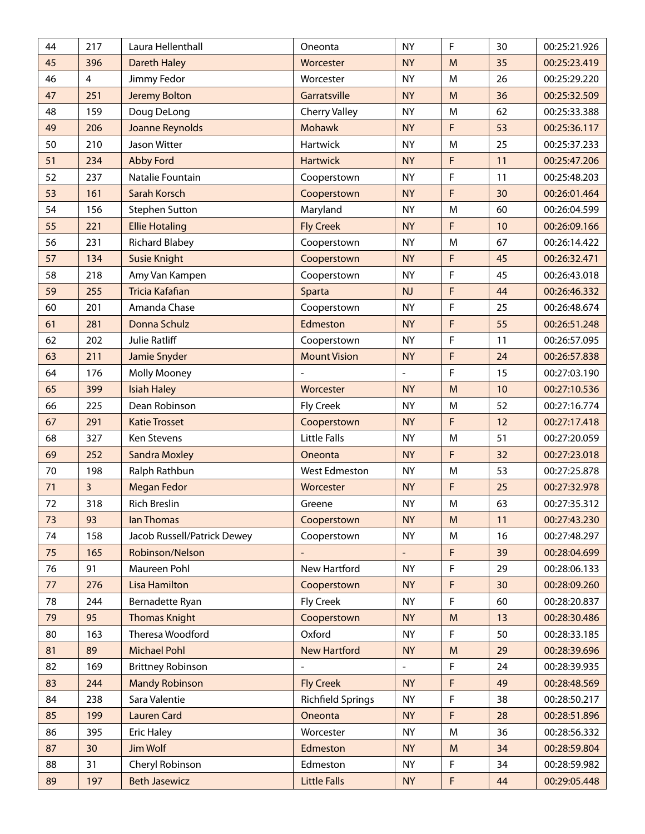| 44 | 217            | Laura Hellenthall           | Oneonta                  | <b>NY</b>                | F           | 30 | 00:25:21.926 |
|----|----------------|-----------------------------|--------------------------|--------------------------|-------------|----|--------------|
| 45 | 396            | <b>Dareth Haley</b>         | Worcester                | <b>NY</b>                | M           | 35 | 00:25:23.419 |
| 46 | 4              | Jimmy Fedor                 | Worcester                | <b>NY</b>                | M           | 26 | 00:25:29.220 |
| 47 | 251            | <b>Jeremy Bolton</b>        | Garratsville             | <b>NY</b>                | M           | 36 | 00:25:32.509 |
| 48 | 159            | Doug DeLong                 | <b>Cherry Valley</b>     | <b>NY</b>                | M           | 62 | 00:25:33.388 |
| 49 | 206            | Joanne Reynolds             | Mohawk                   | <b>NY</b>                | F           | 53 | 00:25:36.117 |
| 50 | 210            | Jason Witter                | <b>Hartwick</b>          | <b>NY</b>                | M           | 25 | 00:25:37.233 |
| 51 | 234            | <b>Abby Ford</b>            | <b>Hartwick</b>          | <b>NY</b>                | F           | 11 | 00:25:47.206 |
| 52 | 237            | Natalie Fountain            | Cooperstown              | <b>NY</b>                | $\mathsf F$ | 11 | 00:25:48.203 |
| 53 | 161            | Sarah Korsch                | Cooperstown              | <b>NY</b>                | F           | 30 | 00:26:01.464 |
| 54 | 156            | <b>Stephen Sutton</b>       | Maryland                 | <b>NY</b>                | M           | 60 | 00:26:04.599 |
| 55 | 221            | <b>Ellie Hotaling</b>       | <b>Fly Creek</b>         | <b>NY</b>                | F           | 10 | 00:26:09.166 |
| 56 | 231            | <b>Richard Blabey</b>       | Cooperstown              | <b>NY</b>                | M           | 67 | 00:26:14.422 |
| 57 | 134            | <b>Susie Knight</b>         | Cooperstown              | <b>NY</b>                | F           | 45 | 00:26:32.471 |
| 58 | 218            | Amy Van Kampen              | Cooperstown              | <b>NY</b>                | F           | 45 | 00:26:43.018 |
| 59 | 255            | <b>Tricia Kafafian</b>      | Sparta                   | NJ                       | F           | 44 | 00:26:46.332 |
| 60 | 201            | Amanda Chase                | Cooperstown              | <b>NY</b>                | $\mathsf F$ | 25 | 00:26:48.674 |
| 61 | 281            | Donna Schulz                | Edmeston                 | <b>NY</b>                | F           | 55 | 00:26:51.248 |
| 62 | 202            | <b>Julie Ratliff</b>        | Cooperstown              | <b>NY</b>                | F           | 11 | 00:26:57.095 |
| 63 | 211            | Jamie Snyder                | <b>Mount Vision</b>      | <b>NY</b>                | F           | 24 | 00:26:57.838 |
| 64 | 176            | <b>Molly Mooney</b>         |                          |                          | F           | 15 | 00:27:03.190 |
| 65 | 399            | <b>Isiah Haley</b>          | Worcester                | <b>NY</b>                | M           | 10 | 00:27:10.536 |
| 66 | 225            | Dean Robinson               | <b>Fly Creek</b>         | <b>NY</b>                | M           | 52 | 00:27:16.774 |
| 67 | 291            | <b>Katie Trosset</b>        | Cooperstown              | <b>NY</b>                | F           | 12 | 00:27:17.418 |
| 68 | 327            | <b>Ken Stevens</b>          | <b>Little Falls</b>      | <b>NY</b>                | M           | 51 | 00:27:20.059 |
| 69 | 252            | <b>Sandra Moxley</b>        | Oneonta                  | <b>NY</b>                | F           | 32 | 00:27:23.018 |
| 70 | 198            | Ralph Rathbun               | <b>West Edmeston</b>     | <b>NY</b>                | M           | 53 | 00:27:25.878 |
| 71 | $\overline{3}$ | <b>Megan Fedor</b>          | Worcester                | <b>NY</b>                | F           | 25 | 00:27:32.978 |
| 72 | 318            | <b>Rich Breslin</b>         | Greene                   | <b>NY</b>                | M           | 63 | 00:27:35.312 |
| 73 | 93             | lan Thomas                  | Cooperstown              | <b>NY</b>                | M           | 11 | 00:27:43.230 |
| 74 | 158            | Jacob Russell/Patrick Dewey | Cooperstown              | <b>NY</b>                | M           | 16 | 00:27:48.297 |
| 75 | 165            | Robinson/Nelson             |                          | $\overline{\phantom{a}}$ | F           | 39 | 00:28:04.699 |
| 76 | 91             | Maureen Pohl                | New Hartford             | <b>NY</b>                | F           | 29 | 00:28:06.133 |
| 77 | 276            | <b>Lisa Hamilton</b>        | Cooperstown              | <b>NY</b>                | F           | 30 | 00:28:09.260 |
| 78 | 244            | Bernadette Ryan             | <b>Fly Creek</b>         | <b>NY</b>                | F           | 60 | 00:28:20.837 |
| 79 | 95             | <b>Thomas Knight</b>        | Cooperstown              | <b>NY</b>                | M           | 13 | 00:28:30.486 |
| 80 | 163            | Theresa Woodford            | Oxford                   | <b>NY</b>                | F           | 50 | 00:28:33.185 |
| 81 | 89             | <b>Michael Pohl</b>         | <b>New Hartford</b>      | <b>NY</b>                | M           | 29 | 00:28:39.696 |
| 82 | 169            | <b>Brittney Robinson</b>    |                          | $\blacksquare$           | F           | 24 | 00:28:39.935 |
| 83 | 244            | <b>Mandy Robinson</b>       | <b>Fly Creek</b>         | <b>NY</b>                | F           | 49 | 00:28:48.569 |
| 84 | 238            | Sara Valentie               | <b>Richfield Springs</b> | <b>NY</b>                | F           | 38 | 00:28:50.217 |
| 85 | 199            | <b>Lauren Card</b>          | Oneonta                  | <b>NY</b>                | F           | 28 | 00:28:51.896 |
| 86 | 395            | <b>Eric Haley</b>           | Worcester                | <b>NY</b>                | M           | 36 | 00:28:56.332 |
| 87 | 30             | Jim Wolf                    | Edmeston                 | <b>NY</b>                | M           | 34 | 00:28:59.804 |
| 88 | 31             | Cheryl Robinson             | Edmeston                 | <b>NY</b>                | F           | 34 | 00:28:59.982 |
| 89 | 197            | <b>Beth Jasewicz</b>        | <b>Little Falls</b>      | <b>NY</b>                | F           | 44 | 00:29:05.448 |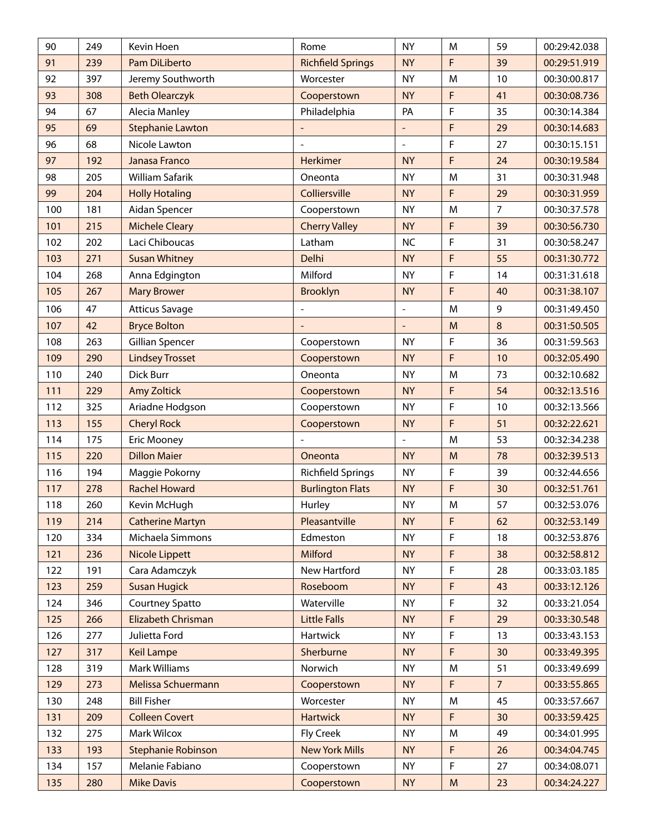| 90  | 249 | Kevin Hoen                | Rome                     | <b>NY</b>                | M         | 59             | 00:29:42.038 |
|-----|-----|---------------------------|--------------------------|--------------------------|-----------|----------------|--------------|
| 91  | 239 | Pam DiLiberto             | <b>Richfield Springs</b> | <b>NY</b>                | F         | 39             | 00:29:51.919 |
| 92  | 397 | Jeremy Southworth         | Worcester                | <b>NY</b>                | M         | 10             | 00:30:00.817 |
| 93  | 308 | <b>Beth Olearczyk</b>     | Cooperstown              | <b>NY</b>                | F         | 41             | 00:30:08.736 |
| 94  | 67  | Alecia Manley             | Philadelphia             | PA                       | F         | 35             | 00:30:14.384 |
| 95  | 69  | <b>Stephanie Lawton</b>   |                          | -                        | F         | 29             | 00:30:14.683 |
| 96  | 68  | Nicole Lawton             |                          | $\frac{1}{2}$            | F         | 27             | 00:30:15.151 |
| 97  | 192 | Janasa Franco             | <b>Herkimer</b>          | <b>NY</b>                | F         | 24             | 00:30:19.584 |
| 98  | 205 | William Safarik           | Oneonta                  | <b>NY</b>                | M         | 31             | 00:30:31.948 |
| 99  | 204 | <b>Holly Hotaling</b>     | Colliersville            | <b>NY</b>                | F         | 29             | 00:30:31.959 |
| 100 | 181 | Aidan Spencer             | Cooperstown              | <b>NY</b>                | M         | $\overline{7}$ | 00:30:37.578 |
| 101 | 215 | <b>Michele Cleary</b>     | <b>Cherry Valley</b>     | <b>NY</b>                | F         | 39             | 00:30:56.730 |
| 102 | 202 | Laci Chiboucas            | Latham                   | <b>NC</b>                | F         | 31             | 00:30:58.247 |
| 103 | 271 | <b>Susan Whitney</b>      | <b>Delhi</b>             | <b>NY</b>                | F         | 55             | 00:31:30.772 |
| 104 | 268 | Anna Edgington            | Milford                  | <b>NY</b>                | F         | 14             | 00:31:31.618 |
| 105 | 267 | <b>Mary Brower</b>        | <b>Brooklyn</b>          | <b>NY</b>                | F         | 40             | 00:31:38.107 |
| 106 | 47  | <b>Atticus Savage</b>     |                          | $\blacksquare$           | M         | 9              | 00:31:49.450 |
| 107 | 42  | <b>Bryce Bolton</b>       |                          | $\overline{\phantom{a}}$ | M         | 8              | 00:31:50.505 |
| 108 | 263 | <b>Gillian Spencer</b>    | Cooperstown              | <b>NY</b>                | F         | 36             | 00:31:59.563 |
| 109 | 290 | <b>Lindsey Trosset</b>    | Cooperstown              | <b>NY</b>                | F         | 10             | 00:32:05.490 |
| 110 | 240 | Dick Burr                 | Oneonta                  | <b>NY</b>                | M         | 73             | 00:32:10.682 |
| 111 | 229 | <b>Amy Zoltick</b>        | Cooperstown              | <b>NY</b>                | F         | 54             | 00:32:13.516 |
| 112 | 325 | Ariadne Hodgson           | Cooperstown              | <b>NY</b>                | F         | 10             | 00:32:13.566 |
| 113 | 155 | <b>Cheryl Rock</b>        | Cooperstown              | <b>NY</b>                | F         | 51             | 00:32:22.621 |
| 114 | 175 | Eric Mooney               |                          | $\blacksquare$           | M         | 53             | 00:32:34.238 |
| 115 | 220 | <b>Dillon Maier</b>       | Oneonta                  | <b>NY</b>                | M         | 78             | 00:32:39.513 |
| 116 | 194 | Maggie Pokorny            | <b>Richfield Springs</b> | <b>NY</b>                | F         | 39             | 00:32:44.656 |
| 117 | 278 | <b>Rachel Howard</b>      | <b>Burlington Flats</b>  | <b>NY</b>                | F         | 30             | 00:32:51.761 |
| 118 | 260 | Kevin McHugh              | Hurley                   | <b>NY</b>                | M         | 57             | 00:32:53.076 |
| 119 | 214 | <b>Catherine Martyn</b>   | Pleasantville            | <b>NY</b>                | F         | 62             | 00:32:53.149 |
| 120 | 334 | Michaela Simmons          | Edmeston                 | <b>NY</b>                | F         | 18             | 00:32:53.876 |
| 121 | 236 | <b>Nicole Lippett</b>     | Milford                  | <b>NY</b>                | F         | 38             | 00:32:58.812 |
| 122 | 191 | Cara Adamczyk             | New Hartford             | <b>NY</b>                | F         | 28             | 00:33:03.185 |
| 123 | 259 | <b>Susan Hugick</b>       | Roseboom                 | <b>NY</b>                | F         | 43             | 00:33:12.126 |
| 124 | 346 | <b>Courtney Spatto</b>    | Waterville               | <b>NY</b>                | F         | 32             | 00:33:21.054 |
| 125 | 266 | Elizabeth Chrisman        | <b>Little Falls</b>      | <b>NY</b>                | F         | 29             | 00:33:30.548 |
| 126 | 277 | Julietta Ford             | Hartwick                 | <b>NY</b>                | F         | 13             | 00:33:43.153 |
| 127 | 317 | <b>Keil Lampe</b>         | Sherburne                | <b>NY</b>                | F         | 30             | 00:33:49.395 |
| 128 | 319 | <b>Mark Williams</b>      | Norwich                  | <b>NY</b>                | M         | 51             | 00:33:49.699 |
| 129 | 273 | Melissa Schuermann        | Cooperstown              | <b>NY</b>                | F         | $\overline{7}$ | 00:33:55.865 |
| 130 | 248 | <b>Bill Fisher</b>        | Worcester                | <b>NY</b>                | M         | 45             | 00:33:57.667 |
| 131 | 209 | <b>Colleen Covert</b>     | <b>Hartwick</b>          | <b>NY</b>                | F         | 30             | 00:33:59.425 |
| 132 | 275 | Mark Wilcox               | Fly Creek                | <b>NY</b>                | M         | 49             | 00:34:01.995 |
| 133 | 193 | <b>Stephanie Robinson</b> | <b>New York Mills</b>    | <b>NY</b>                | F         | 26             | 00:34:04.745 |
| 134 | 157 | Melanie Fabiano           | Cooperstown              | <b>NY</b>                | F         | 27             | 00:34:08.071 |
| 135 | 280 | <b>Mike Davis</b>         | Cooperstown              | <b>NY</b>                | ${\sf M}$ | 23             | 00:34:24.227 |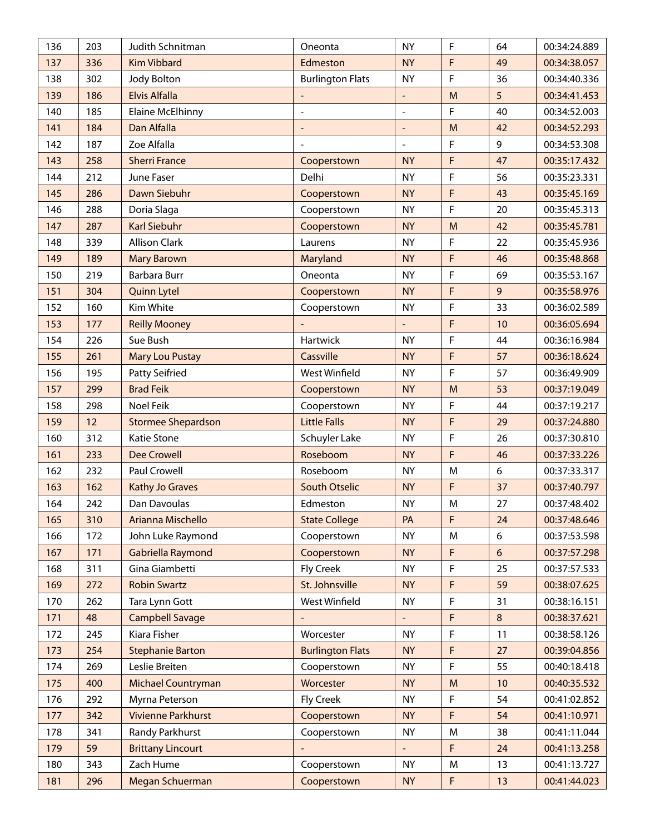| 136 | 203 | Judith Schnitman          | Oneonta                 | <b>NY</b>                    | F | 64 | 00:34:24.889 |
|-----|-----|---------------------------|-------------------------|------------------------------|---|----|--------------|
| 137 | 336 | <b>Kim Vibbard</b>        | Edmeston                | <b>NY</b>                    | F | 49 | 00:34:38.057 |
| 138 | 302 | Jody Bolton               | <b>Burlington Flats</b> | <b>NY</b>                    | F | 36 | 00:34:40.336 |
| 139 | 186 | <b>Elvis Alfalla</b>      |                         | $\overline{\phantom{0}}$     | M | 5  | 00:34:41.453 |
| 140 | 185 | <b>Elaine McElhinny</b>   | $\overline{a}$          | $\overline{\phantom{a}}$     | F | 40 | 00:34:52.003 |
| 141 | 184 | Dan Alfalla               |                         | $\qquad \qquad \blacksquare$ | M | 42 | 00:34:52.293 |
| 142 | 187 | Zoe Alfalla               |                         | $\overline{\phantom{a}}$     | F | 9  | 00:34:53.308 |
| 143 | 258 | <b>Sherri France</b>      | Cooperstown             | <b>NY</b>                    | F | 47 | 00:35:17.432 |
| 144 | 212 | June Faser                | Delhi                   | <b>NY</b>                    | F | 56 | 00:35:23.331 |
| 145 | 286 | Dawn Siebuhr              | Cooperstown             | <b>NY</b>                    | F | 43 | 00:35:45.169 |
| 146 | 288 | Doria Slaga               | Cooperstown             | <b>NY</b>                    | F | 20 | 00:35:45.313 |
| 147 | 287 | <b>Karl Siebuhr</b>       | Cooperstown             | <b>NY</b>                    | M | 42 | 00:35:45.781 |
| 148 | 339 | <b>Allison Clark</b>      | Laurens                 | <b>NY</b>                    | F | 22 | 00:35:45.936 |
| 149 | 189 | <b>Mary Barown</b>        | Maryland                | <b>NY</b>                    | F | 46 | 00:35:48.868 |
| 150 | 219 | <b>Barbara Burr</b>       | Oneonta                 | <b>NY</b>                    | F | 69 | 00:35:53.167 |
| 151 | 304 | <b>Quinn Lytel</b>        | Cooperstown             | <b>NY</b>                    | F | 9  | 00:35:58.976 |
| 152 | 160 | Kim White                 | Cooperstown             | <b>NY</b>                    | F | 33 | 00:36:02.589 |
| 153 | 177 | <b>Reilly Mooney</b>      |                         |                              | F | 10 | 00:36:05.694 |
| 154 | 226 | Sue Bush                  | Hartwick                | <b>NY</b>                    | F | 44 | 00:36:16.984 |
| 155 | 261 | <b>Mary Lou Pustay</b>    | Cassville               | <b>NY</b>                    | F | 57 | 00:36:18.624 |
| 156 | 195 | <b>Patty Seifried</b>     | West Winfield           | <b>NY</b>                    | F | 57 | 00:36:49.909 |
| 157 | 299 | <b>Brad Feik</b>          | Cooperstown             | <b>NY</b>                    | M | 53 | 00:37:19.049 |
| 158 | 298 | Noel Feik                 | Cooperstown             | <b>NY</b>                    | F | 44 | 00:37:19.217 |
| 159 | 12  | <b>Stormee Shepardson</b> | <b>Little Falls</b>     | <b>NY</b>                    | F | 29 | 00:37:24.880 |
| 160 | 312 | Katie Stone               | Schuyler Lake           | <b>NY</b>                    | F | 26 | 00:37:30.810 |
| 161 | 233 | <b>Dee Crowell</b>        | Roseboom                | <b>NY</b>                    | F | 46 | 00:37:33.226 |
| 162 | 232 | Paul Crowell              | Roseboom                | <b>NY</b>                    | M | 6  | 00:37:33.317 |
| 163 | 162 | <b>Kathy Jo Graves</b>    | <b>South Otselic</b>    | <b>NY</b>                    | F | 37 | 00:37:40.797 |
| 164 | 242 | Dan Davoulas              | Edmeston                | <b>NY</b>                    | M | 27 | 00:37:48.402 |
| 165 | 310 | Arianna Mischello         | <b>State College</b>    | PA                           | F | 24 | 00:37:48.646 |
| 166 | 172 | John Luke Raymond         | Cooperstown             | <b>NY</b>                    | M | 6  | 00:37:53.598 |
| 167 | 171 | Gabriella Raymond         | Cooperstown             | <b>NY</b>                    | F | 6  | 00:37:57.298 |
| 168 | 311 | Gina Giambetti            | <b>Fly Creek</b>        | <b>NY</b>                    | F | 25 | 00:37:57.533 |
| 169 | 272 | <b>Robin Swartz</b>       | St. Johnsville          | <b>NY</b>                    | F | 59 | 00:38:07.625 |
| 170 | 262 | Tara Lynn Gott            | West Winfield           | <b>NY</b>                    | F | 31 | 00:38:16.151 |
| 171 | 48  | <b>Campbell Savage</b>    |                         |                              | F | 8  | 00:38:37.621 |
| 172 | 245 | Kiara Fisher              | Worcester               | <b>NY</b>                    | F | 11 | 00:38:58.126 |
| 173 | 254 | <b>Stephanie Barton</b>   | <b>Burlington Flats</b> | <b>NY</b>                    | F | 27 | 00:39:04.856 |
| 174 | 269 | Leslie Breiten            | Cooperstown             | <b>NY</b>                    | F | 55 | 00:40:18.418 |
| 175 | 400 | <b>Michael Countryman</b> | Worcester               | <b>NY</b>                    | M | 10 | 00:40:35.532 |
| 176 | 292 | Myrna Peterson            | <b>Fly Creek</b>        | <b>NY</b>                    | F | 54 | 00:41:02.852 |
| 177 | 342 | <b>Vivienne Parkhurst</b> | Cooperstown             | <b>NY</b>                    | F | 54 | 00:41:10.971 |
| 178 | 341 | Randy Parkhurst           | Cooperstown             | <b>NY</b>                    | M | 38 | 00:41:11.044 |
| 179 | 59  | <b>Brittany Lincourt</b>  |                         | $\blacksquare$               | F | 24 | 00:41:13.258 |
| 180 | 343 | Zach Hume                 | Cooperstown             | <b>NY</b>                    | M | 13 | 00:41:13.727 |
| 181 | 296 | Megan Schuerman           | Cooperstown             | <b>NY</b>                    | F | 13 | 00:41:44.023 |